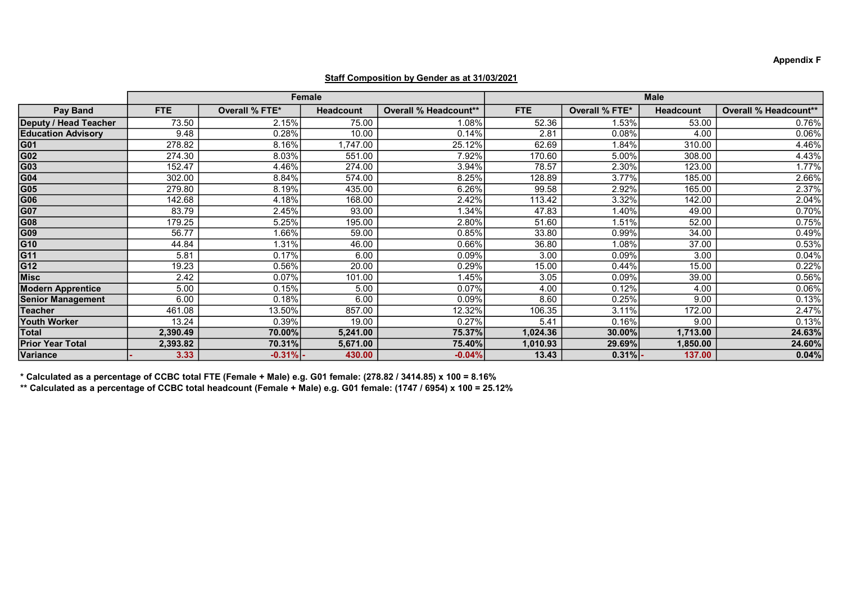|                           | Female     |                     |                  |                              | <b>Male</b> |                |                  |                              |
|---------------------------|------------|---------------------|------------------|------------------------------|-------------|----------------|------------------|------------------------------|
|                           |            |                     |                  |                              |             |                |                  |                              |
| <b>Pay Band</b>           | <b>FTE</b> | Overall % FTE*      | <b>Headcount</b> | <b>Overall % Headcount**</b> | <b>FTE</b>  | Overall % FTE* | <b>Headcount</b> | <b>Overall % Headcount**</b> |
| Deputy / Head Teacher     | 73.50      | 2.15%               | 75.00            | 1.08%                        | 52.36       | 1.53%          | 53.00            | 0.76%                        |
| <b>Education Advisory</b> | 9.48       | 0.28%               | 10.00            | 0.14%                        | 2.81        | 0.08%          | 4.00             | 0.06%                        |
| $\overline{G01}$          | 278.82     | 8.16%               | ,747.00          | 25.12%                       | 62.69       | 1.84%          | 310.00           | 4.46%                        |
| G02                       | 274.30     | 8.03%               | 551.00           | 7.92%                        | 170.60      | 5.00%          | 308.00           | 4.43%                        |
| $\overline{G03}$          | 152.47     | 4.46%               | 274.00           | 3.94%                        | 78.57       | 2.30%          | 123.00           | 1.77%                        |
| G <sub>04</sub>           | 302.00     | 8.84%               | 574.00           | 8.25%                        | 128.89      | 3.77%          | 185.00           | 2.66%                        |
| $\overline{G05}$          | 279.80     | 8.19%               | 435.00           | 6.26%                        | 99.58       | 2.92%          | 165.00           | 2.37%                        |
| G06                       | 142.68     | 4.18%               | 168.00           | 2.42%                        | 113.42      | 3.32%          | 142.00           | 2.04%                        |
| $\overline{\text{G07}}$   | 83.79      | 2.45%               | 93.00            | 1.34%                        | 47.83       | 1.40%          | 49.00            | 0.70%                        |
| G08                       | 179.25     | 5.25%               | 195.00           | 2.80%                        | 51.60       | 1.51%          | 52.00            | 0.75%                        |
| $\overline{G09}$          | 56.77      | 1.66%               | 59.00            | 0.85%                        | 33.80       | 0.99%          | 34.00            | 0.49%                        |
| G10                       | 44.84      | $1.\overline{31\%}$ | 46.00            | 0.66%                        | 36.80       | 1.08%          | 37.00            | 0.53%                        |
| $\overline{G11}$          | 5.81       | 0.17%               | 6.00             | 0.09%                        | 3.00        | 0.09%          | 3.00             | 0.04%                        |
| $\overline{G12}$          | 19.23      | 0.56%               | 20.00            | 0.29%                        | 15.00       | 0.44%          | 15.00            | 0.22%                        |
| Misc                      | 2.42       | 0.07%               | 101.00           | 1.45%                        | 3.05        | 0.09%          | 39.00            | 0.56%                        |
| <b>Modern Apprentice</b>  | 5.00       | 0.15%               | 5.00             | 0.07%                        | 4.00        | 0.12%          | 4.00             | 0.06%                        |
| <b>Senior Management</b>  | 6.00       | 0.18%               | 6.00             | 0.09%                        | 8.60        | 0.25%          | 9.00             | 0.13%                        |
| Teacher                   | 461.08     | 13.50%              | 857.00           | 12.32%                       | 106.35      | 3.11%          | 172.00           | 2.47%                        |
| <b>Youth Worker</b>       | 13.24      | 0.39%               | 19.00            | 0.27%                        | 5.41        | 0.16%          | 9.00             | 0.13%                        |
| Total                     | 2,390.49   | 70.00%              | 5,241.00         | 75.37%                       | 1,024.36    | 30.00%         | 1,713.00         | 24.63%                       |
| <b>Prior Year Total</b>   | 2,393.82   | 70.31%              | 5,671.00         | 75.40%                       | 1,010.93    | 29.69%         | 1,850.00         | 24.60%                       |
| Variance                  | 3.33       | $-0.31\%$ -         | 430.00           | $-0.04%$                     | 13.43       | $0.31\%$ .     | 137.00           | 0.04%                        |

## Staff Composition by Gender as at 31/03/2021

\* Calculated as a percentage of CCBC total FTE (Female + Male) e.g. G01 female: (278.82 / 3414.85) x 100 = 8.16%

\*\* Calculated as a percentage of CCBC total headcount (Female + Male) e.g. G01 female: (1747 / 6954) x 100 = 25.12%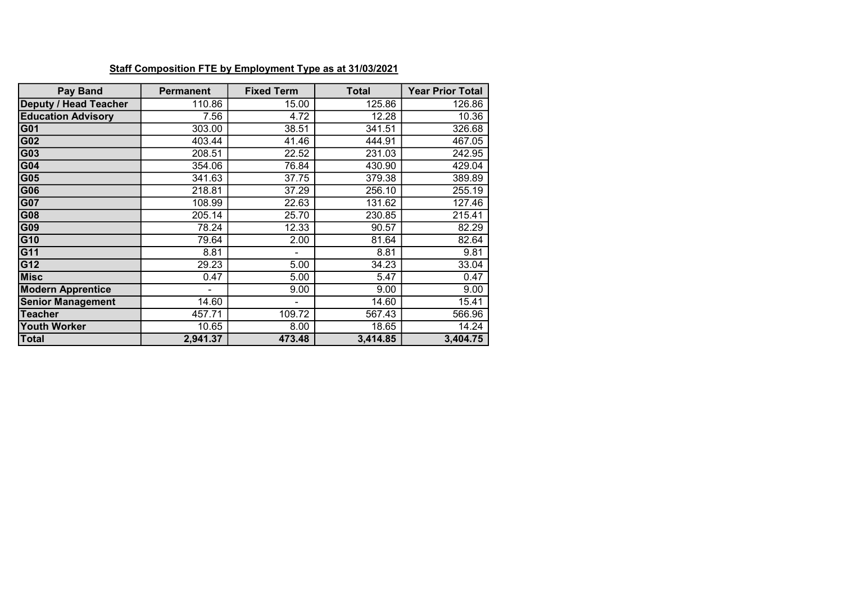| <b>Pay Band</b>              | <b>Permanent</b> | <b>Fixed Term</b> | <b>Total</b> | <b>Year Prior Total</b> |
|------------------------------|------------------|-------------------|--------------|-------------------------|
| <b>Deputy / Head Teacher</b> | 110.86           | 15.00             | 125.86       | 126.86                  |
| <b>Education Advisory</b>    | 7.56             | 4.72              | 12.28        | 10.36                   |
| G01                          | 303.00           | 38.51             | 341.51       | 326.68                  |
| G02                          | 403.44           | 41.46             | 444.91       | 467.05                  |
| G03                          | 208.51           | 22.52             | 231.03       | 242.95                  |
| G04                          | 354.06           | 76.84             | 430.90       | 429.04                  |
| G05                          | 341.63           | 37.75             | 379.38       | 389.89                  |
| G06                          | 218.81           | 37.29             | 256.10       | 255.19                  |
| G07                          | 108.99           | 22.63             | 131.62       | 127.46                  |
| G08                          | 205.14           | 25.70             | 230.85       | 215.41                  |
| G09                          | 78.24            | 12.33             | 90.57        | 82.29                   |
| G10                          | 79.64            | 2.00              | 81.64        | 82.64                   |
| G11                          | 8.81             |                   | 8.81         | 9.81                    |
| G12                          | 29.23            | 5.00              | 34.23        | 33.04                   |
| <b>Misc</b>                  | 0.47             | 5.00              | 5.47         | 0.47                    |
| <b>Modern Apprentice</b>     |                  | 9.00              | 9.00         | 9.00                    |
| <b>Senior Management</b>     | 14.60            | -                 | 14.60        | 15.41                   |
| <b>Teacher</b>               | 457.71           | 109.72            | 567.43       | 566.96                  |
| <b>Youth Worker</b>          | 10.65            | 8.00              | 18.65        | 14.24                   |
| <b>Total</b>                 | 2,941.37         | 473.48            | 3,414.85     | 3,404.75                |

## Staff Composition FTE by Employment Type as at 31/03/2021